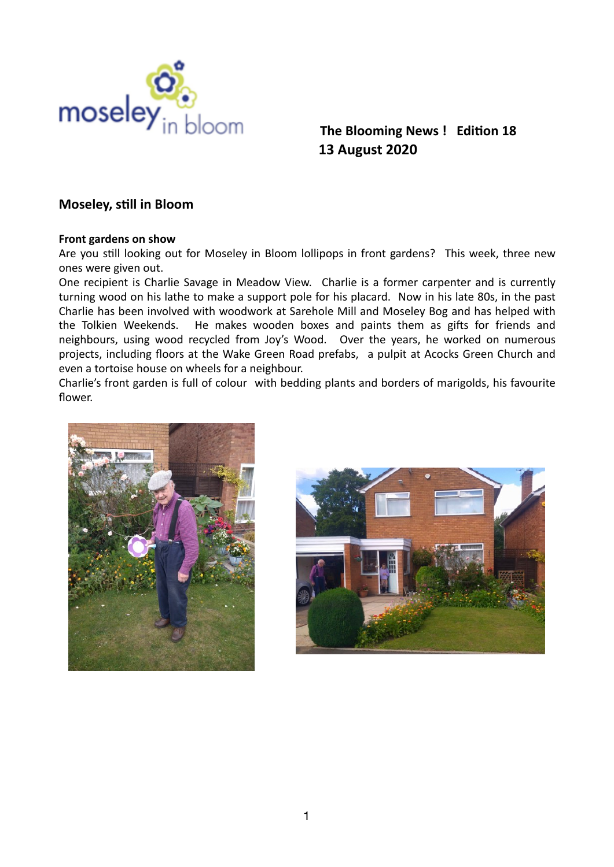

# **13 August 2020**

## **Moseley, still in Bloom**

#### **Front gardens on show**

Are you still looking out for Moseley in Bloom lollipops in front gardens? This week, three new ones were given out.

One recipient is Charlie Savage in Meadow View. Charlie is a former carpenter and is currently turning wood on his lathe to make a support pole for his placard. Now in his late 80s, in the past Charlie has been involved with woodwork at Sarehole Mill and Moseley Bog and has helped with the Tolkien Weekends. He makes wooden boxes and paints them as gifts for friends and neighbours, using wood recycled from Joy's Wood. Over the years, he worked on numerous projects, including floors at the Wake Green Road prefabs, a pulpit at Acocks Green Church and even a tortoise house on wheels for a neighbour.

Charlie's front garden is full of colour with bedding plants and borders of marigolds, his favourite flower.



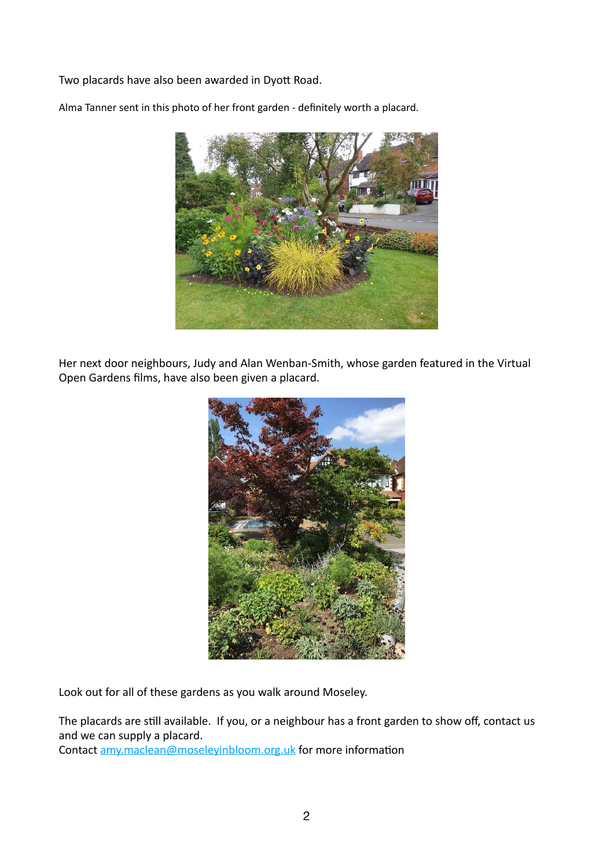Two placards have also been awarded in Dyott Road.

Alma Tanner sent in this photo of her front garden - definitely worth a placard.



Her next door neighbours, Judy and Alan Wenban-Smith, whose garden featured in the Virtual Open Gardens films, have also been given a placard.



Look out for all of these gardens as you walk around Moseley.

The placards are still available. If you, or a neighbour has a front garden to show off, contact us and we can supply a placard.

Contact amy.maclean@moseleyinbloom.org.uk for more information